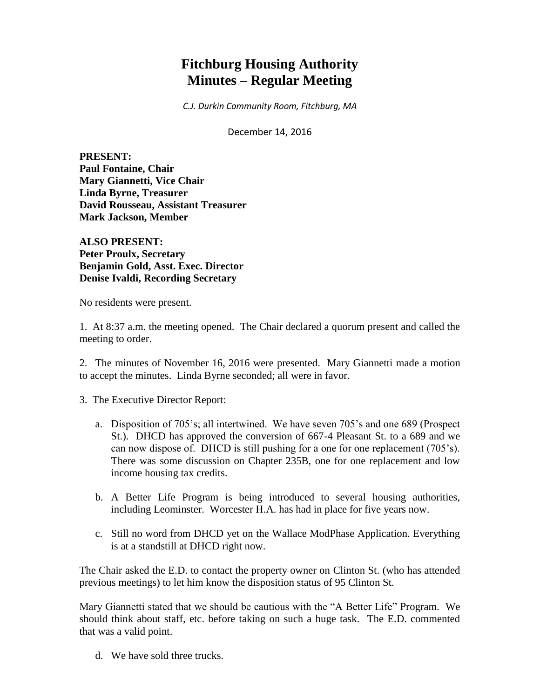# **Fitchburg Housing Authority Minutes – Regular Meeting**

*C.J. Durkin Community Room, Fitchburg, MA*

December 14, 2016

**PRESENT: Paul Fontaine, Chair Mary Giannetti, Vice Chair Linda Byrne, Treasurer David Rousseau, Assistant Treasurer Mark Jackson, Member**

**ALSO PRESENT: Peter Proulx, Secretary Benjamin Gold, Asst. Exec. Director Denise Ivaldi, Recording Secretary**

No residents were present.

1. At 8:37 a.m. the meeting opened. The Chair declared a quorum present and called the meeting to order.

2. The minutes of November 16, 2016 were presented. Mary Giannetti made a motion to accept the minutes. Linda Byrne seconded; all were in favor.

3. The Executive Director Report:

- a. Disposition of 705's; all intertwined. We have seven 705's and one 689 (Prospect St.). DHCD has approved the conversion of 667-4 Pleasant St. to a 689 and we can now dispose of. DHCD is still pushing for a one for one replacement (705's). There was some discussion on Chapter 235B, one for one replacement and low income housing tax credits.
- b. A Better Life Program is being introduced to several housing authorities, including Leominster. Worcester H.A. has had in place for five years now.
- c. Still no word from DHCD yet on the Wallace ModPhase Application. Everything is at a standstill at DHCD right now.

The Chair asked the E.D. to contact the property owner on Clinton St. (who has attended previous meetings) to let him know the disposition status of 95 Clinton St.

Mary Giannetti stated that we should be cautious with the "A Better Life" Program. We should think about staff, etc. before taking on such a huge task. The E.D. commented that was a valid point.

d. We have sold three trucks.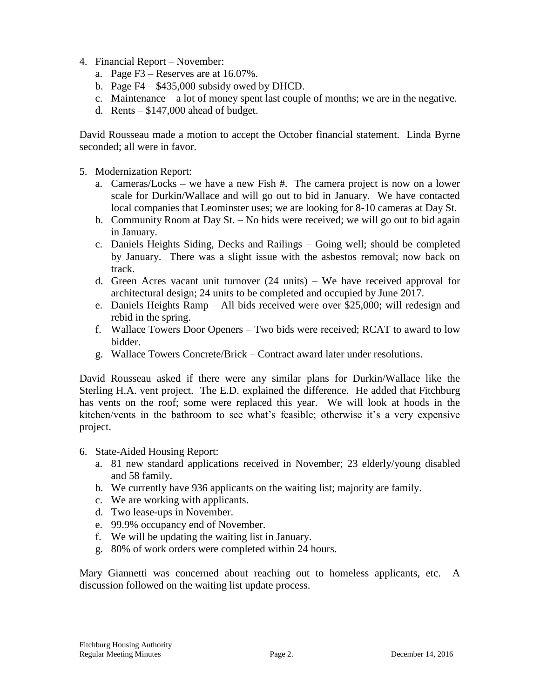- 4. Financial Report November:
	- a. Page F3 Reserves are at 16.07%.
	- b. Page F4 \$435,000 subsidy owed by DHCD.
	- c. Maintenance a lot of money spent last couple of months; we are in the negative.
	- d. Rents  $-$  \$147,000 ahead of budget.

David Rousseau made a motion to accept the October financial statement. Linda Byrne seconded; all were in favor.

- 5. Modernization Report:
	- a. Cameras/Locks we have a new Fish #. The camera project is now on a lower scale for Durkin/Wallace and will go out to bid in January. We have contacted local companies that Leominster uses; we are looking for 8-10 cameras at Day St.
	- b. Community Room at Day St. No bids were received; we will go out to bid again in January.
	- c. Daniels Heights Siding, Decks and Railings Going well; should be completed by January. There was a slight issue with the asbestos removal; now back on track.
	- d. Green Acres vacant unit turnover (24 units) We have received approval for architectural design; 24 units to be completed and occupied by June 2017.
	- e. Daniels Heights Ramp All bids received were over \$25,000; will redesign and rebid in the spring.
	- f. Wallace Towers Door Openers Two bids were received; RCAT to award to low bidder.
	- g. Wallace Towers Concrete/Brick Contract award later under resolutions.

David Rousseau asked if there were any similar plans for Durkin/Wallace like the Sterling H.A. vent project. The E.D. explained the difference. He added that Fitchburg has vents on the roof; some were replaced this year. We will look at hoods in the kitchen/vents in the bathroom to see what's feasible; otherwise it's a very expensive project.

- 6. State-Aided Housing Report:
	- a. 81 new standard applications received in November; 23 elderly/young disabled and 58 family.
	- b. We currently have 936 applicants on the waiting list; majority are family.
	- c. We are working with applicants.
	- d. Two lease-ups in November.
	- e. 99.9% occupancy end of November.
	- f. We will be updating the waiting list in January.
	- g. 80% of work orders were completed within 24 hours.

Mary Giannetti was concerned about reaching out to homeless applicants, etc. A discussion followed on the waiting list update process.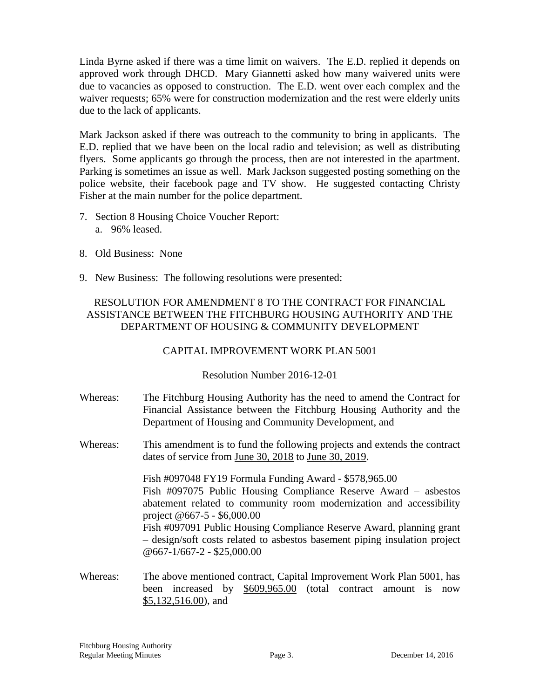Linda Byrne asked if there was a time limit on waivers. The E.D. replied it depends on approved work through DHCD. Mary Giannetti asked how many waivered units were due to vacancies as opposed to construction. The E.D. went over each complex and the waiver requests; 65% were for construction modernization and the rest were elderly units due to the lack of applicants.

Mark Jackson asked if there was outreach to the community to bring in applicants. The E.D. replied that we have been on the local radio and television; as well as distributing flyers. Some applicants go through the process, then are not interested in the apartment. Parking is sometimes an issue as well. Mark Jackson suggested posting something on the police website, their facebook page and TV show. He suggested contacting Christy Fisher at the main number for the police department.

- 7. Section 8 Housing Choice Voucher Report: a. 96% leased.
- 8. Old Business: None
- 9. New Business: The following resolutions were presented:

# RESOLUTION FOR AMENDMENT 8 TO THE CONTRACT FOR FINANCIAL ASSISTANCE BETWEEN THE FITCHBURG HOUSING AUTHORITY AND THE DEPARTMENT OF HOUSING & COMMUNITY DEVELOPMENT

# CAPITAL IMPROVEMENT WORK PLAN 5001

## Resolution Number 2016-12-01

- Whereas: The Fitchburg Housing Authority has the need to amend the Contract for Financial Assistance between the Fitchburg Housing Authority and the Department of Housing and Community Development, and
- Whereas: This amendment is to fund the following projects and extends the contract dates of service from June 30, 2018 to June 30, 2019.

Fish #097048 FY19 Formula Funding Award - \$578,965.00 Fish #097075 Public Housing Compliance Reserve Award – asbestos abatement related to community room modernization and accessibility project @667-5 - \$6,000.00 Fish #097091 Public Housing Compliance Reserve Award, planning grant – design/soft costs related to asbestos basement piping insulation project @667-1/667-2 - \$25,000.00

Whereas: The above mentioned contract, Capital Improvement Work Plan 5001, has been increased by \$609,965.00 (total contract amount is now \$5,132,516.00), and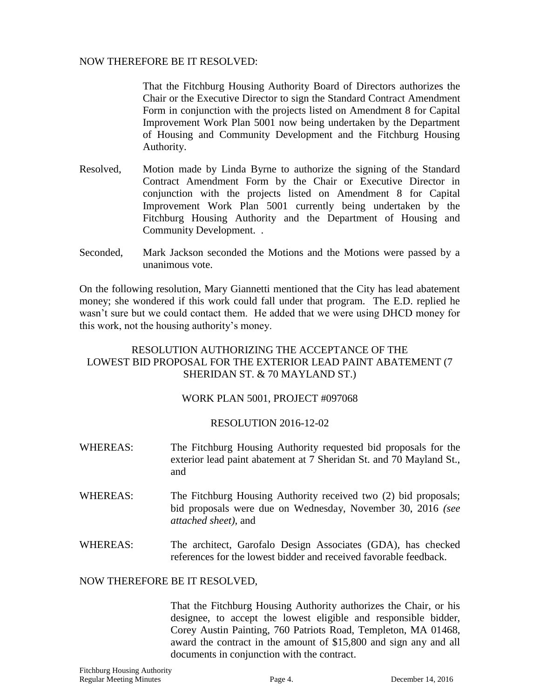#### NOW THEREFORE BE IT RESOLVED:

That the Fitchburg Housing Authority Board of Directors authorizes the Chair or the Executive Director to sign the Standard Contract Amendment Form in conjunction with the projects listed on Amendment 8 for Capital Improvement Work Plan 5001 now being undertaken by the Department of Housing and Community Development and the Fitchburg Housing Authority.

- Resolved, Motion made by Linda Byrne to authorize the signing of the Standard Contract Amendment Form by the Chair or Executive Director in conjunction with the projects listed on Amendment 8 for Capital Improvement Work Plan 5001 currently being undertaken by the Fitchburg Housing Authority and the Department of Housing and Community Development. .
- Seconded, Mark Jackson seconded the Motions and the Motions were passed by a unanimous vote.

On the following resolution, Mary Giannetti mentioned that the City has lead abatement money; she wondered if this work could fall under that program. The E.D. replied he wasn't sure but we could contact them. He added that we were using DHCD money for this work, not the housing authority's money.

### RESOLUTION AUTHORIZING THE ACCEPTANCE OF THE LOWEST BID PROPOSAL FOR THE EXTERIOR LEAD PAINT ABATEMENT (7 SHERIDAN ST. & 70 MAYLAND ST.)

## WORK PLAN 5001, PROJECT #097068

#### RESOLUTION 2016-12-02

- WHEREAS: The Fitchburg Housing Authority requested bid proposals for the exterior lead paint abatement at 7 Sheridan St. and 70 Mayland St., and
- WHEREAS: The Fitchburg Housing Authority received two (2) bid proposals; bid proposals were due on Wednesday, November 30, 2016 *(see attached sheet),* and
- WHEREAS: The architect, Garofalo Design Associates (GDA), has checked references for the lowest bidder and received favorable feedback.

#### NOW THEREFORE BE IT RESOLVED,

That the Fitchburg Housing Authority authorizes the Chair, or his designee, to accept the lowest eligible and responsible bidder, Corey Austin Painting, 760 Patriots Road, Templeton, MA 01468, award the contract in the amount of \$15,800 and sign any and all documents in conjunction with the contract.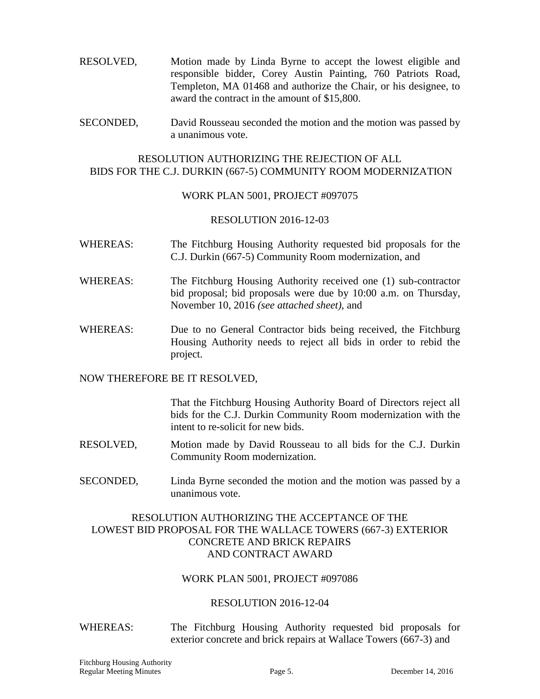- RESOLVED, Motion made by Linda Byrne to accept the lowest eligible and responsible bidder, Corey Austin Painting, 760 Patriots Road, Templeton, MA 01468 and authorize the Chair, or his designee, to award the contract in the amount of \$15,800.
- SECONDED, David Rousseau seconded the motion and the motion was passed by a unanimous vote.

#### RESOLUTION AUTHORIZING THE REJECTION OF ALL BIDS FOR THE C.J. DURKIN (667-5) COMMUNITY ROOM MODERNIZATION

#### WORK PLAN 5001, PROJECT #097075

#### RESOLUTION 2016-12-03

- WHEREAS: The Fitchburg Housing Authority requested bid proposals for the C.J. Durkin (667-5) Community Room modernization, and
- WHEREAS: The Fitchburg Housing Authority received one (1) sub-contractor bid proposal; bid proposals were due by 10:00 a.m. on Thursday, November 10, 2016 *(see attached sheet),* and
- WHEREAS: Due to no General Contractor bids being received, the Fitchburg Housing Authority needs to reject all bids in order to rebid the project.

#### NOW THEREFORE BE IT RESOLVED,

That the Fitchburg Housing Authority Board of Directors reject all bids for the C.J. Durkin Community Room modernization with the intent to re-solicit for new bids.

- RESOLVED, Motion made by David Rousseau to all bids for the C.J. Durkin Community Room modernization.
- SECONDED, Linda Byrne seconded the motion and the motion was passed by a unanimous vote.

#### RESOLUTION AUTHORIZING THE ACCEPTANCE OF THE LOWEST BID PROPOSAL FOR THE WALLACE TOWERS (667-3) EXTERIOR CONCRETE AND BRICK REPAIRS AND CONTRACT AWARD

#### WORK PLAN 5001, PROJECT #097086

#### RESOLUTION 2016-12-04

WHEREAS: The Fitchburg Housing Authority requested bid proposals for exterior concrete and brick repairs at Wallace Towers (667-3) and